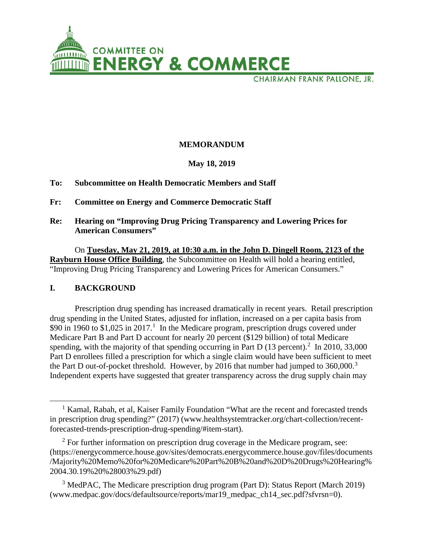

CHAIRMAN FRANK PALLONE, JR.

# **MEMORANDUM**

### **May 18, 2019**

### **To: Subcommittee on Health Democratic Members and Staff**

- **Fr: Committee on Energy and Commerce Democratic Staff**
- **Re: Hearing on "Improving Drug Pricing Transparency and Lowering Prices for American Consumers"**

On **Tuesday, May 21, 2019, at 10:30 a.m. in the John D. Dingell Room, 2123 of the Rayburn House Office Building**, the Subcommittee on Health will hold a hearing entitled, "Improving Drug Pricing Transparency and Lowering Prices for American Consumers."

### **I. BACKGROUND**

 $\overline{\phantom{a}}$ 

Prescription drug spending has increased dramatically in recent years. Retail prescription drug spending in the United States, adjusted for inflation, increased on a per capita basis from \$90 in [1](#page-0-0)960 to \$1,025 in 2017.<sup>1</sup> In the Medicare program, prescription drugs covered under Medicare Part B and Part D account for nearly 20 percent (\$129 billion) of total Medicare spending, with the majority of that spending occurring in Part D  $(13$  percent).<sup>[2](#page-0-1)</sup> In 2010, 33,000 Part D enrollees filled a prescription for which a single claim would have been sufficient to meet the Part D out-of-pocket threshold. However, by 2016 that number had jumped to  $360,000$  $360,000$ .<sup>3</sup> Independent experts have suggested that greater transparency across the drug supply chain may

<span id="page-0-0"></span><sup>&</sup>lt;sup>1</sup> Kamal, Rabah, et al, Kaiser Family Foundation "What are the recent and forecasted trends in prescription drug spending?" (2017) (www.healthsystemtracker.org/chart-collection/recentforecasted-trends-prescription-drug-spending/#item-start).

<span id="page-0-1"></span> $2$  For further information on prescription drug coverage in the Medicare program, see: (https://energycommerce.house.gov/sites/democrats.energycommerce.house.gov/files/documents /Majority%20Memo%20for%20Medicare%20Part%20B%20and%20D%20Drugs%20Hearing% 2004.30.19%20%28003%29.pdf)

<span id="page-0-2"></span><sup>&</sup>lt;sup>3</sup> MedPAC, The Medicare prescription drug program (Part D): Status Report (March 2019) (www.medpac.gov/docs/defaultsource/reports/mar19\_medpac\_ch14\_sec.pdf?sfvrsn=0).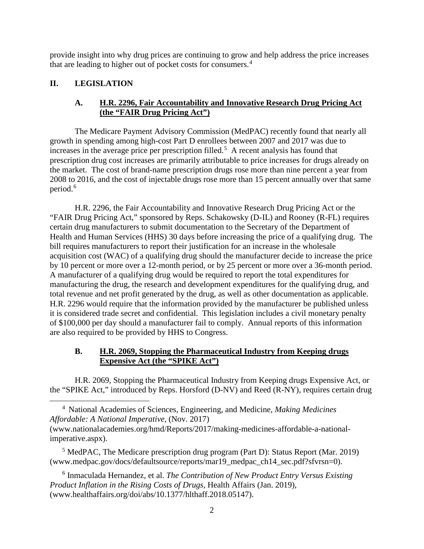provide insight into why drug prices are continuing to grow and help address the price increases that are leading to higher out of pocket costs for consumers.[4](#page-1-0)

# **II. LEGISLATION**

 $\overline{\phantom{a}}$ 

# **A. H.R. 2296, Fair Accountability and Innovative Research Drug Pricing Act (the "FAIR Drug Pricing Act")**

The Medicare Payment Advisory Commission (MedPAC) recently found that nearly all growth in spending among high-cost Part D enrollees between 2007 and 2017 was due to increases in the average price per prescription filled.<sup>[5](#page-1-1)</sup> A recent analysis has found that prescription drug cost increases are primarily attributable to price increases for drugs already on the market. The cost of brand-name prescription drugs rose more than nine percent a year from 2008 to 2016, and the cost of injectable drugs rose more than 15 percent annually over that same period.<sup>[6](#page-1-2)</sup>

H.R. 2296, the Fair Accountability and Innovative Research Drug Pricing Act or the "FAIR Drug Pricing Act," sponsored by Reps. Schakowsky (D-IL) and Rooney (R-FL) requires certain drug manufacturers to submit documentation to the Secretary of the Department of Health and Human Services (HHS) 30 days before increasing the price of a qualifying drug. The bill requires manufacturers to report their justification for an increase in the wholesale acquisition cost (WAC) of a qualifying drug should the manufacturer decide to increase the price by 10 percent or more over a 12-month period, or by 25 percent or more over a 36-month period. A manufacturer of a qualifying drug would be required to report the total expenditures for manufacturing the drug, the research and development expenditures for the qualifying drug, and total revenue and net profit generated by the drug, as well as other documentation as applicable. H.R. 2296 would require that the information provided by the manufacturer be published unless it is considered trade secret and confidential. This legislation includes a civil monetary penalty of \$100,000 per day should a manufacturer fail to comply. Annual reports of this information are also required to be provided by HHS to Congress.

# **B. H.R. 2069, Stopping the Pharmaceutical Industry from Keeping drugs Expensive Act (the "SPIKE Act")**

H.R. 2069, Stopping the Pharmaceutical Industry from Keeping drugs Expensive Act, or the "SPIKE Act," introduced by Reps. Horsford (D-NV) and Reed (R-NY), requires certain drug

<span id="page-1-0"></span><sup>4</sup> National Academies of Sciences, Engineering, and Medicine, *Making Medicines Affordable: A National Imperative,* (Nov. 2017) (www.nationalacademies.org/hmd/Reports/2017/making-medicines-affordable-a-nationalimperative.aspx).

<span id="page-1-1"></span> $<sup>5</sup>$  MedPAC, The Medicare prescription drug program (Part D): Status Report (Mar. 2019)</sup> (www.medpac.gov/docs/defaultsource/reports/mar19\_medpac\_ch14\_sec.pdf?sfvrsn=0).

<span id="page-1-2"></span><sup>6</sup> Inmaculada Hernandez, et al. *The Contribution of New Product Entry Versus Existing Product Inflation in the Rising Costs of Drugs,* Health Affairs (Jan. 2019), (www.healthaffairs.org/doi/abs/10.1377/hlthaff.2018.05147).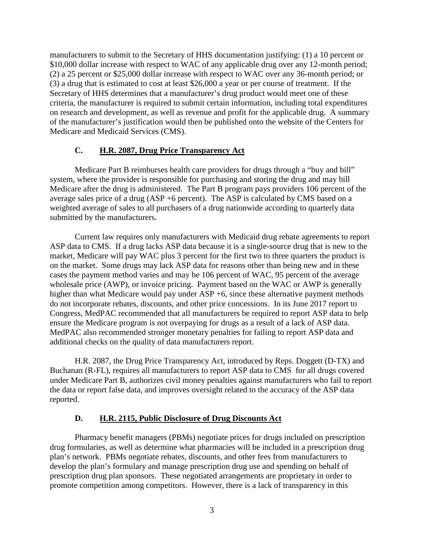manufacturers to submit to the Secretary of HHS documentation justifying: (1) a 10 percent or \$10,000 dollar increase with respect to WAC of any applicable drug over any 12-month period; (2) a 25 percent or \$25,000 dollar increase with respect to WAC over any 36-month period; or (3) a drug that is estimated to cost at least \$26,000 a year or per course of treatment. If the Secretary of HHS determines that a manufacturer's drug product would meet one of these criteria, the manufacturer is required to submit certain information, including total expenditures on research and development, as well as revenue and profit for the applicable drug. A summary of the manufacturer's justification would then be published onto the website of the Centers for Medicare and Medicaid Services (CMS).

#### **C. H.R. 2087, Drug Price Transparency Act**

Medicare Part B reimburses health care providers for drugs through a "buy and bill" system, where the provider is responsible for purchasing and storing the drug and may bill Medicare after the drug is administered. The Part B program pays providers 106 percent of the average sales price of a drug (ASP +6 percent). The ASP is calculated by CMS based on a weighted average of sales to all purchasers of a drug nationwide according to quarterly data submitted by the manufacturers.

Current law requires only manufacturers with Medicaid drug rebate agreements to report ASP data to CMS. If a drug lacks ASP data because it is a single-source drug that is new to the market, Medicare will pay WAC plus 3 percent for the first two to three quarters the product is on the market. Some drugs may lack ASP data for reasons other than being new and in these cases the payment method varies and may be 106 percent of WAC, 95 percent of the average wholesale price (AWP), or invoice pricing. Payment based on the WAC or AWP is generally higher than what Medicare would pay under ASP +6, since these alternative payment methods do not incorporate rebates, discounts, and other price concessions. In its June 2017 report to Congress, MedPAC recommended that all manufacturers be required to report ASP data to help ensure the Medicare program is not overpaying for drugs as a result of a lack of ASP data. MedPAC also recommended stronger monetary penalties for failing to report ASP data and additional checks on the quality of data manufacturers report.

 H.R. 2087, the Drug Price Transparency Act, introduced by Reps. Doggett (D-TX) and Buchanan (R-FL), requires all manufacturers to report ASP data to CMS for all drugs covered under Medicare Part B, authorizes civil money penalties against manufacturers who fail to report the data or report false data, and improves oversight related to the accuracy of the ASP data reported.

#### **D. H.R. 2115, Public Disclosure of Drug Discounts Act**

Pharmacy benefit managers (PBMs) negotiate prices for drugs included on prescription drug formularies, as well as determine what pharmacies will be included in a prescription drug plan's network. PBMs negotiate rebates, discounts, and other fees from manufacturers to develop the plan's formulary and manage prescription drug use and spending on behalf of prescription drug plan sponsors. These negotiated arrangements are proprietary in order to promote competition among competitors. However, there is a lack of transparency in this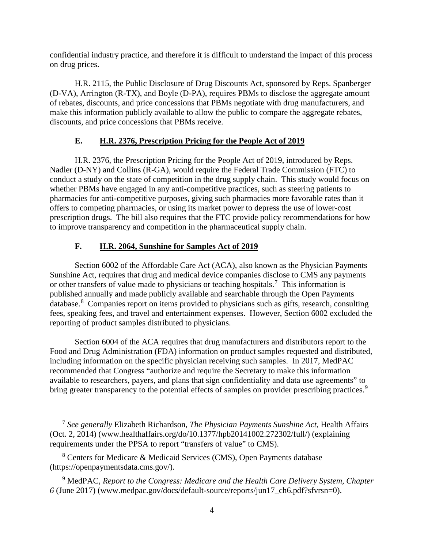confidential industry practice, and therefore it is difficult to understand the impact of this process on drug prices.

H.R. 2115, the Public Disclosure of Drug Discounts Act, sponsored by Reps. Spanberger (D-VA), Arrington (R-TX), and Boyle (D-PA), requires PBMs to disclose the aggregate amount of rebates, discounts, and price concessions that PBMs negotiate with drug manufacturers, and make this information publicly available to allow the public to compare the aggregate rebates, discounts, and price concessions that PBMs receive.

# **E. H.R. 2376, Prescription Pricing for the People Act of 2019**

 H.R. 2376, the Prescription Pricing for the People Act of 2019, introduced by Reps. Nadler (D-NY) and Collins (R-GA), would require the Federal Trade Commission (FTC) to conduct a study on the state of competition in the drug supply chain. This study would focus on whether PBMs have engaged in any anti-competitive practices, such as steering patients to pharmacies for anti-competitive purposes, giving such pharmacies more favorable rates than it offers to competing pharmacies, or using its market power to depress the use of lower-cost prescription drugs. The bill also requires that the FTC provide policy recommendations for how to improve transparency and competition in the pharmaceutical supply chain.

# **F. H.R. 2064, Sunshine for Samples Act of 2019**

Section 6002 of the Affordable Care Act (ACA), also known as the Physician Payments Sunshine Act, requires that drug and medical device companies disclose to CMS any payments or other transfers of value made to physicians or teaching hospitals.<sup>[7](#page-3-0)</sup> This information is published annually and made publicly available and searchable through the Open Payments database.<sup>[8](#page-3-1)</sup> Companies report on items provided to physicians such as gifts, research, consulting fees, speaking fees, and travel and entertainment expenses. However, Section 6002 excluded the reporting of product samples distributed to physicians.

Section 6004 of the ACA requires that drug manufacturers and distributors report to the Food and Drug Administration (FDA) information on product samples requested and distributed, including information on the specific physician receiving such samples. In 2017, MedPAC recommended that Congress "authorize and require the Secretary to make this information available to researchers, payers, and plans that sign confidentiality and data use agreements" to bring greater transparency to the potential effects of samples on provider prescribing practices.<sup>[9](#page-3-2)</sup>

l

<span id="page-3-0"></span><sup>7</sup> *See generally* Elizabeth Richardson, *The Physician Payments Sunshine Act*, Health Affairs (Oct. 2, 2014) (www.healthaffairs.org/do/10.1377/hpb20141002.272302/full/) (explaining requirements under the PPSA to report "transfers of value" to CMS).

<span id="page-3-1"></span><sup>8</sup> Centers for Medicare & Medicaid Services (CMS), Open Payments database (https://openpaymentsdata.cms.gov/).

<span id="page-3-2"></span><sup>9</sup> MedPAC, *Report to the Congress: Medicare and the Health Care Delivery System, Chapter 6* (June 2017) (www.medpac.gov/docs/default-source/reports/jun17\_ch6.pdf?sfvrsn=0).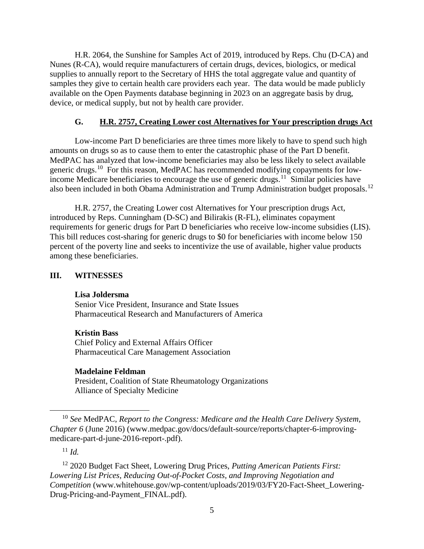H.R. 2064, the Sunshine for Samples Act of 2019, introduced by Reps. Chu (D-CA) and Nunes (R-CA), would require manufacturers of certain drugs, devices, biologics, or medical supplies to annually report to the Secretary of HHS the total aggregate value and quantity of samples they give to certain health care providers each year. The data would be made publicly available on the Open Payments database beginning in 2023 on an aggregate basis by drug, device, or medical supply, but not by health care provider.

### **G. H.R. 2757, Creating Lower cost Alternatives for Your prescription drugs Act**

Low-income Part D beneficiaries are three times more likely to have to spend such high amounts on drugs so as to cause them to enter the catastrophic phase of the Part D benefit. MedPAC has analyzed that low-income beneficiaries may also be less likely to select available generic drugs.<sup>[10](#page-4-0)</sup> For this reason, MedPAC has recommended modifying copayments for low-income Medicare beneficiaries to encourage the use of generic drugs.<sup>[11](#page-4-1)</sup> Similar policies have also been included in both Obama Administration and Trump Administration budget proposals.[12](#page-4-2)

H.R. 2757, the Creating Lower cost Alternatives for Your prescription drugs Act, introduced by Reps. Cunningham (D-SC) and Bilirakis (R-FL), eliminates copayment requirements for generic drugs for Part D beneficiaries who receive low-income subsidies (LIS). This bill reduces cost-sharing for generic drugs to \$0 for beneficiaries with income below 150 percent of the poverty line and seeks to incentivize the use of available, higher value products among these beneficiaries.

#### **III. WITNESSES**

#### **Lisa Joldersma**

Senior Vice President, Insurance and State Issues Pharmaceutical Research and Manufacturers of America

#### **Kristin Bass**

Chief Policy and External Affairs Officer Pharmaceutical Care Management Association

#### **Madelaine Feldman**

President, Coalition of State Rheumatology Organizations Alliance of Specialty Medicine

 $11$  *Id.* 

 $\overline{\phantom{a}}$ 

<span id="page-4-0"></span><sup>10</sup> *See* MedPAC, *Report to the Congress: Medicare and the Health Care Delivery System, Chapter 6* (June 2016) (www.medpac.gov/docs/default-source/reports/chapter-6-improvingmedicare-part-d-june-2016-report-.pdf).

<span id="page-4-2"></span><span id="page-4-1"></span><sup>12</sup> 2020 Budget Fact Sheet, Lowering Drug Prices, *Putting American Patients First: Lowering List Prices, Reducing Out-of-Pocket Costs, and Improving Negotiation and Competition* (www.whitehouse.gov/wp-content/uploads/2019/03/FY20-Fact-Sheet Lowering-Drug-Pricing-and-Payment\_FINAL.pdf).